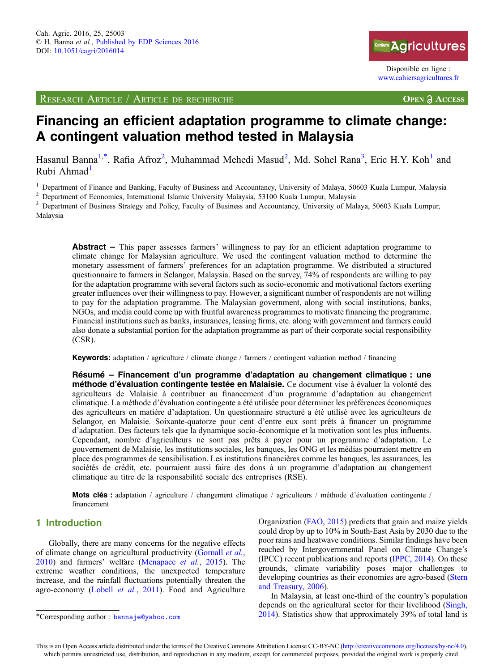RESEARCH ARTICLE / ARTICLE DE RECHERCHE



Disponible en ligne : [www.cahiersagricultures.fr](http://www.cahiersagricultures.fr)

**OPEN A ACCESS** 

# Financing an efficient adaptation programme to climate change: A contingent valuation method tested in Malaysia

Hasanul Banna<sup>1,\*</sup>, Rafia Afroz<sup>2</sup>, Muhammad Mehedi Masud<sup>2</sup>, Md. Sohel Rana<sup>3</sup>, Eric H.Y. Koh<sup>1</sup> and Rubi Ahmad $1$ 

<sup>1</sup> Department of Finance and Banking, Faculty of Business and Accountancy, University of Malaya, 50603 Kuala Lumpur, Malaysia<sup>2</sup> Department of Economics, International Islamic University Malaysia, 53100 Kuala Lumpur, Mal

Malaysia

Abstract – This paper assesses farmers' willingness to pay for an efficient adaptation programme to climate change for Malaysian agriculture. We used the contingent valuation method to determine the monetary assessment of farmers' preferences for an adaptation programme. We distributed a structured questionnaire to farmers in Selangor, Malaysia. Based on the survey, 74% of respondents are willing to pay for the adaptation programme with several factors such as socio-economic and motivational factors exerting greater influences over their willingness to pay. However, a significant number of respondents are not willing to pay for the adaptation programme. The Malaysian government, along with social institutions, banks, NGOs, and media could come up with fruitful awareness programmes to motivate financing the programme. Financial institutions such as banks, insurances, leasing firms, etc. along with government and farmers could also donate a substantial portion for the adaptation programme as part of their corporate social responsibility (CSR).

Keywords: adaptation / agriculture / climate change / farmers / contingent valuation method / financing

Résumé – Financement d'un programme d'adaptation au changement climatique : une méthode d'évaluation contingente testée en Malaisie. Ce document vise à évaluer la volonté des agriculteurs de Malaisie à contribuer au financement d'un programme d'adaptation au changement climatique. La méthode d'évaluation contingente a été utilisée pour déterminer les préférences économiques des agriculteurs en matière d'adaptation. Un questionnaire structuré a été utilisé avec les agriculteurs de Selangor, en Malaisie. Soixante-quatorze pour cent d'entre eux sont prêts à financer un programme d'adaptation. Des facteurs tels que la dynamique socio-économique et la motivation sont les plus influents. Cependant, nombre d'agriculteurs ne sont pas prêts à payer pour un programme d'adaptation. Le gouvernement de Malaisie, les institutions sociales, les banques, les ONG et les médias pourraient mettre en place des programmes de sensibilisation. Les institutions financières comme les banques, les assurances, les sociétés de crédit, etc. pourraient aussi faire des dons à un programme d'adaptation au changement climatique au titre de la responsabilité sociale des entreprises (RSE).

Mots clés : adaptation / agriculture / changement climatique / agriculteurs / méthode d'évaluation contingente / financement

# 1 Introduction

Globally, there are many concerns for the negative effects of climate change on agricultural productivity ([Gornall](#page-7-0) et al., [2010](#page-7-0)) and farmers' welfare [\(Menapace](#page-7-0) et al., 2015). The extreme weather conditions, the unexpected temperature increase, and the rainfall fluctuations potentially threaten the agro-economy (Lobell et al.[, 2011\)](#page-7-0). Food and Agriculture

Organization ([FAO, 2015\)](#page-7-0) predicts that grain and maize yields could drop by up to 10% in South-East Asia by 2030 due to the poor rains and heatwave conditions. Similar findings have been reached by Intergovernmental Panel on Climate Change's (IPCC) recent publications and reports ([IPPC, 2014\)](#page-7-0). On these grounds, climate variability poses major challenges to developing countries as their economies are agro-based ([Stern](#page-7-0) [and Treasury, 2006\)](#page-7-0).

In Malaysia, at least one-third of the country's population depends on the agricultural sector for their livelihood [\(Singh,](#page-7-0) \*Corresponding author : banna je@yahoo.com [2014](#page-7-0)). Statistics show that approximately 39% of total land is

This is an Open Access article distributed under the terms of the Creative Commons Attribution License CC-BY-NC [\(http://creativecommons.org/licenses/by-nc/4.0](http://creativecommons.org/licenses/by-nc/4.0)), which permits unrestricted use, distribution, and reproduction in any medium, except for commercial purposes, provided the original work is properly cited.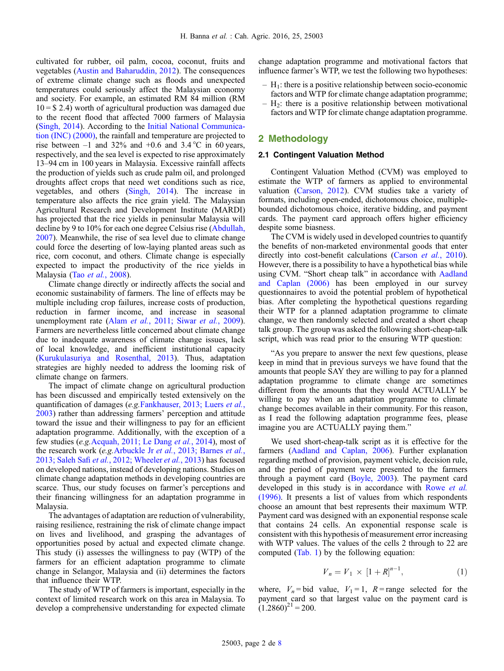<span id="page-1-0"></span>cultivated for rubber, oil palm, cocoa, coconut, fruits and vegetables [\(Austin and Baharuddin, 2012](#page-7-0)). The consequences of extreme climate change such as floods and unexpected temperatures could seriously affect the Malaysian economy and society. For example, an estimated RM 84 million (RM  $10 = $ 2.4$ ) worth of agricultural production was damaged due to the recent flood that affected 7000 farmers of Malaysia ([Singh, 2014\)](#page-7-0). According to the [Initial National Communica](#page-7-0)[tion \(INC\) \(2000\),](#page-7-0) the rainfall and temperature are projected to rise between  $-1$  and 32% and  $+0.6$  and 3.4 °C in 60 years, respectively, and the sea level is expected to rise approximately 13–94 cm in 100 years in Malaysia. Excessive rainfall affects the production of yields such as crude palm oil, and prolonged droughts affect crops that need wet conditions such as rice, vegetables, and others ([Singh, 2014](#page-7-0)). The increase in temperature also affects the rice grain yield. The Malaysian Agricultural Research and Development Institute (MARDI) has projected that the rice yields in peninsular Malaysia will decline by 9 to 10% for each one degree Celsius rise [\(Abdullah,](#page-7-0) [2007](#page-7-0)). Meanwhile, the rise of sea level due to climate change could force the deserting of low-laying planted areas such as rice, corn coconut, and others. Climate change is especially expected to impact the productivity of the rice yields in Malaysia (Tao et al.[, 2008\)](#page-7-0).

Climate change directly or indirectly affects the social and economic sustainability of farmers. The line of effects may be multiple including crop failures, increase costs of production, reduction in farmer income, and increase in seasonal unemployment rate (Alam et al., 2011; Siwar et al., 2009). Farmers are nevertheless little concerned about climate change due to inadequate awareness of climate change issues, lack of local knowledge, and inefficient institutional capacity ([Kurukulasuriya and Rosenthal, 2013\)](#page-7-0). Thus, adaptation strategies are highly needed to address the looming risk of climate change on farmers.

The impact of climate change on agricultural production has been discussed and empirically tested extensively on the quantification of damages (e.g.Fankhauser, 2013; Luers et al., 2003) rather than addressing farmers' perception and attitude toward the issue and their willingness to pay for an efficient adaptation programme. Additionally, with the exception of a few studies (e.g.Acquah, 2011; Le Dang et al., 2014), most of the research work (e.g.Arbuckle Jr et al., 2013; Barnes et al., 2013; Saleh Safi et al., 2012; Wheeler et al., 2013) has focused on developed nations, instead of developing nations. Studies on climate change adaptation methods in developing countries are scarce. Thus, our study focuses on farmer's perceptions and their financing willingness for an adaptation programme in Malaysia.

The advantages of adaptation are reduction of vulnerability, raising resilience, restraining the risk of climate change impact on lives and livelihood, and grasping the advantages of opportunities posed by actual and expected climate change. This study (i) assesses the willingness to pay (WTP) of the farmers for an efficient adaptation programme to climate change in Selangor, Malaysia and (ii) determines the factors that influence their WTP.

The study of WTP of farmers is important, especially in the context of limited research work on this area in Malaysia. To develop a comprehensive understanding for expected climate change adaptation programme and motivational factors that influence farmer's WTP, we test the following two hypotheses:

- $H<sub>1</sub>$ : there is a positive relationship between socio-economic factors and WTP for climate change adaptation programme;
- $-$  H<sub>2</sub>: there is a positive relationship between motivational factors and WTP for climate change adaptation programme.

## 2 Methodology

### 2.1 Contingent Valuation Method

Contingent Valuation Method (CVM) was employed to estimate the WTP of farmers as applied to environmental valuation [\(Carson, 2012](#page-7-0)). CVM studies take a variety of formats, including open-ended, dichotomous choice, multiplebounded dichotomous choice, iterative bidding, and payment cards. The payment card approach offers higher efficiency despite some biasness.

The CVM is widely used in developed countries to quantify the benefits of non-marketed environmental goods that enter directly into cost-benefit calculations ([Carson](#page-7-0) et al., 2010). However, there is a possibility to have a hypothetical bias while using CVM. "Short cheap talk" in accordance with [Aadland](#page-7-0) [and Caplan \(2006\)](#page-7-0) has been employed in our survey questionnaires to avoid the potential problem of hypothetical bias. After completing the hypothetical questions regarding their WTP for a planned adaptation programme to climate change, we then randomly selected and created a short cheap talk group. The group was asked the following short-cheap-talk script, which was read prior to the ensuring WTP question:

"As you prepare to answer the next few questions, please keep in mind that in previous surveys we have found that the amounts that people SAY they are willing to pay for a planned adaptation programme to climate change are sometimes different from the amounts that they would ACTUALLY be willing to pay when an adaptation programme to climate change becomes available in their community. For this reason, as I read the following adaptation programme fees, please imagine you are ACTUALLY paying them."

We used short-cheap-talk script as it is effective for the farmers [\(Aadland and Caplan, 2006](#page-7-0)). Further explanation regarding method of provision, payment vehicle, decision rule, and the period of payment were presented to the farmers through a payment card ([Boyle, 2003\)](#page-7-0). The payment card developed in this study is in accordance with [Rowe](#page-7-0) et al. [\(1996\).](#page-7-0) It presents a list of values from which respondents choose an amount that best represents their maximum WTP. Payment card was designed with an exponential response scale that contains 24 cells. An exponential response scale is consistent with this hypothesis of measurement error increasing with WTP values. The values of the cells 2 through to 22 are computed [\(Tab. 1\)](#page-2-0) by the following equation:

$$
V_n = V_1 \times [1 + R]^{n-1}, \tag{1}
$$

where,  $V_n$ = bid value,  $V_1$  = 1,  $R$  = range selected for the payment card so that largest value on the payment card is  $(1.2860)^{21}$  = 200.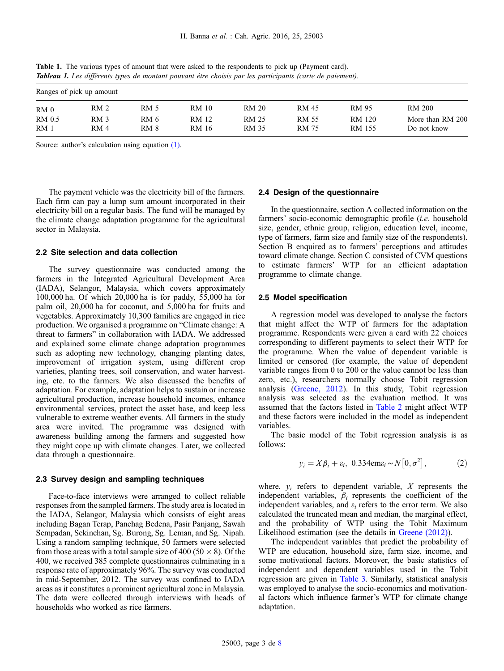| Ranges of pick up amount |                 |      |       |       |       |        |                  |  |
|--------------------------|-----------------|------|-------|-------|-------|--------|------------------|--|
| RM <sub>0</sub>          | RM <sub>2</sub> | RM 5 | RM 10 | RM 20 | RM 45 | RM 95  | RM 200           |  |
| RM 0.5                   | RM <sub>3</sub> | RM 6 | RM 12 | RM 25 | RM 55 | RM 120 | More than RM 200 |  |
| RM <sub>1</sub>          | RM 4            | RM 8 | RM 16 | RM 35 | RM 75 | RM 155 | Do not know      |  |

<span id="page-2-0"></span>Table 1. The various types of amount that were asked to the respondents to pick up (Payment card). Tableau 1. Les différents types de montant pouvant être choisis par les participants (carte de paiement).

Source: author's calculation using equation [\(1\)](#page-1-0).

The payment vehicle was the electricity bill of the farmers. Each firm can pay a lump sum amount incorporated in their electricity bill on a regular basis. The fund will be managed by the climate change adaptation programme for the agricultural sector in Malaysia.

### 2.2 Site selection and data collection

The survey questionnaire was conducted among the farmers in the Integrated Agricultural Development Area (IADA), Selangor, Malaysia, which covers approximately 100,000 ha. Of which 20,000 ha is for paddy, 55,000 ha for palm oil, 20,000 ha for coconut, and 5,000 ha for fruits and vegetables. Approximately 10,300 families are engaged in rice production. We organised a programme on "Climate change: A threat to farmers" in collaboration with IADA. We addressed and explained some climate change adaptation programmes such as adopting new technology, changing planting dates, improvement of irrigation system, using different crop varieties, planting trees, soil conservation, and water harvesting, etc. to the farmers. We also discussed the benefits of adaptation. For example, adaptation helps to sustain or increase agricultural production, increase household incomes, enhance environmental services, protect the asset base, and keep less vulnerable to extreme weather events. All farmers in the study area were invited. The programme was designed with awareness building among the farmers and suggested how they might cope up with climate changes. Later, we collected data through a questionnaire.

#### 2.3 Survey design and sampling techniques

Face-to-face interviews were arranged to collect reliable responses from the sampled farmers. The study area is located in the IADA, Selangor, Malaysia which consists of eight areas including Bagan Terap, Panchag Bedena, Pasir Panjang, Sawah Sempadan, Sekinchan, Sg. Burong, Sg. Leman, and Sg. Nipah. Using a random sampling technique, 50 farmers were selected from those areas with a total sample size of 400 (50  $\times$  8). Of the 400, we received 385 complete questionnaires culminating in a response rate of approximately 96%. The survey was conducted in mid-September, 2012. The survey was confined to IADA areas as it constitutes a prominent agricultural zone in Malaysia. The data were collected through interviews with heads of households who worked as rice farmers.

## 2.4 Design of the questionnaire

In the questionnaire, section A collected information on the farmers' socio-economic demographic profile (i.e. household size, gender, ethnic group, religion, education level, income, type of farmers, farm size and family size of the respondents). Section B enquired as to farmers' perceptions and attitudes toward climate change. Section C consisted of CVM questions to estimate farmers' WTP for an efficient adaptation programme to climate change.

#### 2.5 Model specification

A regression model was developed to analyse the factors that might affect the WTP of farmers for the adaptation programme. Respondents were given a card with 22 choices corresponding to different payments to select their WTP for the programme. When the value of dependent variable is limited or censored (for example, the value of dependent variable ranges from 0 to 200 or the value cannot be less than zero, etc.), researchers normally choose Tobit regression analysis ([Greene, 2012\)](#page-7-0). In this study, Tobit regression analysis was selected as the evaluation method. It was assumed that the factors listed in [Table 2](#page-3-0) might affect WTP and these factors were included in the model as independent variables.

The basic model of the Tobit regression analysis is as follows:

$$
y_i = X\beta_i + \varepsilon_i, \ 0.334 \text{em} \varepsilon_i \sim N\big[0, \sigma^2\big],\tag{2}
$$

where,  $v_i$  refers to dependent variable, X represents the independent variables,  $\beta_i$  represents the coefficient of the independent variables, and  $\varepsilon_i$  refers to the error term. We also calculated the truncated mean and median, the marginal effect, and the probability of WTP using the Tobit Maximum Likelihood estimation (see the details in [Greene \(2012\)](#page-7-0)).

The independent variables that predict the probability of WTP are education, household size, farm size, income, and some motivational factors. Moreover, the basic statistics of independent and dependent variables used in the Tobit regression are given in [Table 3](#page-3-0). Similarly, statistical analysis was employed to analyse the socio-economics and motivational factors which influence farmer's WTP for climate change adaptation.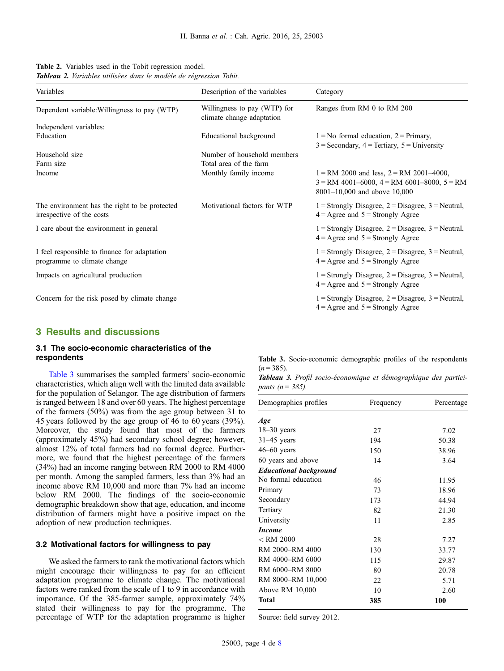<span id="page-3-0"></span>

| <b>Table 2.</b> Variables used in the Tobit regression model.             |  |
|---------------------------------------------------------------------------|--|
| <b>Tableau 2.</b> Variables utilisées dans le modèle de régression Tobit. |  |

| Variables                                                                   | Description of the variables                              | Category                                                                                                                          |  |  |
|-----------------------------------------------------------------------------|-----------------------------------------------------------|-----------------------------------------------------------------------------------------------------------------------------------|--|--|
| Dependent variable: Willingness to pay (WTP)                                | Willingness to pay (WTP) for<br>climate change adaptation | Ranges from RM 0 to RM 200                                                                                                        |  |  |
| Independent variables:                                                      |                                                           |                                                                                                                                   |  |  |
| Education                                                                   | Educational background                                    | $1 = No$ formal education, $2 = Primary$ ,<br>$3 =$ Secondary, $4 =$ Tertiary, $5 =$ University                                   |  |  |
| Household size                                                              | Number of household members                               |                                                                                                                                   |  |  |
| Farm size                                                                   | Total area of the farm                                    |                                                                                                                                   |  |  |
| Income                                                                      | Monthly family income                                     | $1 = RM$ 2000 and less, $2 = RM$ 2001–4000,<br>$3 = RM$ 4001-6000, $4 = RM$ 6001-8000, $5 = RM$<br>$8001-10,000$ and above 10,000 |  |  |
| The environment has the right to be protected<br>irrespective of the costs  | Motivational factors for WTP                              | $1 =$ Strongly Disagree, $2 =$ Disagree, $3 =$ Neutral,<br>$4 = \text{Agree}$ and $5 = \text{Strongly Agree}$                     |  |  |
| I care about the environment in general                                     |                                                           | $1 =$ Strongly Disagree, $2 =$ Disagree, $3 =$ Neutral,<br>$4 = \text{Agree}$ and $5 = \text{Strongly Agree}$                     |  |  |
| I feel responsible to finance for adaptation<br>programme to climate change |                                                           | $1 =$ Strongly Disagree, $2 =$ Disagree, $3 =$ Neutral,<br>$4 = \text{Agree}$ and $5 = \text{Strongly Agree}$                     |  |  |
| Impacts on agricultural production                                          |                                                           | $1 =$ Strongly Disagree, $2 =$ Disagree, $3 =$ Neutral,<br>$4 = \text{Agree}$ and $5 = \text{Strongly Agree}$                     |  |  |
| Concern for the risk posed by climate change                                |                                                           | $1 =$ Strongly Disagree, $2 =$ Disagree, $3 =$ Neutral,<br>$4 = \text{Agree}$ and $5 = \text{Strongly Agree}$                     |  |  |

## 3 Results and discussions

## 3.1 The socio-economic characteristics of the respondents

Table 3 summarises the sampled farmers' socio-economic characteristics, which align well with the limited data available for the population of Selangor. The age distribution of farmers is ranged between 18 and over 60 years. The highest percentage of the farmers (50%) was from the age group between 31 to 45 years followed by the age group of 46 to 60 years (39%). Moreover, the study found that most of the farmers (approximately 45%) had secondary school degree; however, almost 12% of total farmers had no formal degree. Furthermore, we found that the highest percentage of the farmers (34%) had an income ranging between RM 2000 to RM 4000 per month. Among the sampled farmers, less than 3% had an income above RM 10,000 and more than 7% had an income below RM 2000. The findings of the socio-economic demographic breakdown show that age, education, and income distribution of farmers might have a positive impact on the adoption of new production techniques.

## 3.2 Motivational factors for willingness to pay

We asked the farmers to rank the motivational factors which might encourage their willingness to pay for an efficient adaptation programme to climate change. The motivational factors were ranked from the scale of 1 to 9 in accordance with importance. Of the 385-farmer sample, approximately 74% stated their willingness to pay for the programme. The percentage of WTP for the adaptation programme is higher

Table 3. Socio-economic demographic profiles of the respondents  $(n = 385)$ .

|                         | Tableau 3. Profil socio-économique et démographique des partici- |  |  |
|-------------------------|------------------------------------------------------------------|--|--|
| <i>pants (n = 385).</i> |                                                                  |  |  |

| Demographics profiles         | Frequency | Percentage |
|-------------------------------|-----------|------------|
| Age                           |           |            |
| $18-30$ years                 | 27        | 7.02       |
| $31-45$ years                 | 194       | 50.38      |
| $46-60$ years                 | 150       | 38.96      |
| 60 years and above            | 14        | 3.64       |
| <b>Educational background</b> |           |            |
| No formal education           | 46        | 11.95      |
| Primary                       | 73        | 18.96      |
| Secondary                     | 173       | 44.94      |
| Tertiary                      | 82        | 21.30      |
| University                    | 11        | 2.85       |
| <i>Income</i>                 |           |            |
| $<$ RM 2000                   | 28        | 7.27       |
| RM 2000-RM 4000               | 130       | 33.77      |
| RM 4000-RM 6000               | 115       | 29.87      |
| RM 6000-RM 8000               | 80        | 20.78      |
| RM 8000-RM 10,000             | 22        | 5.71       |
| Above RM 10,000               | 10        | 2.60       |
| Total                         | 385       | 100        |

Source: field survey 2012.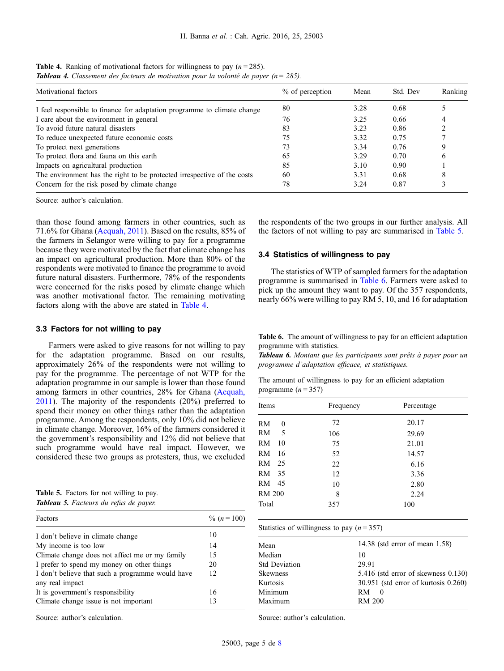| <b>Table 4.</b> Ranking of motivational factors for willingness to pay $(n = 285)$ .            |
|-------------------------------------------------------------------------------------------------|
| <b>Tableau 4.</b> Classement des facteurs de motivation pour la volonté de payer ( $n = 285$ ). |

| Motivational factors                                                     | % of perception | Mean | Std. Dev | Ranking |
|--------------------------------------------------------------------------|-----------------|------|----------|---------|
| I feel responsible to finance for adaptation programme to climate change | 80              | 3.28 | 0.68     |         |
| I care about the environment in general                                  | 76              | 3.25 | 0.66     | 4       |
| To avoid future natural disasters                                        | 83              | 3.23 | 0.86     |         |
| To reduce unexpected future economic costs                               | 75              | 3.32 | 0.75     |         |
| To protect next generations                                              | 73              | 3.34 | 0.76     |         |
| To protect flora and fauna on this earth                                 | 65              | 3.29 | 0.70     | O       |
| Impacts on agricultural production                                       | 85              | 3.10 | 0.90     |         |
| The environment has the right to be protected irrespective of the costs  | 60              | 3.31 | 0.68     | ◠       |
| Concern for the risk posed by climate change                             | 78              | 3.24 | 0.87     |         |

Source: author's calculation.

than those found among farmers in other countries, such as 71.6% for Ghana [\(Acquah, 2011](#page-7-0)). Based on the results, 85% of the farmers in Selangor were willing to pay for a programme because they were motivated by the fact that climate change has an impact on agricultural production. More than 80% of the respondents were motivated to finance the programme to avoid future natural disasters. Furthermore, 78% of the respondents were concerned for the risks posed by climate change which was another motivational factor. The remaining motivating factors along with the above are stated in Table 4.

## 3.3 Factors for not willing to pay

Farmers were asked to give reasons for not willing to pay for the adaptation programme. Based on our results, approximately 26% of the respondents were not willing to pay for the programme. The percentage of not WTP for the adaptation programme in our sample is lower than those found among farmers in other countries, 28% for Ghana [\(Acquah,](#page-7-0) [2011](#page-7-0)). The majority of the respondents (20%) preferred to spend their money on other things rather than the adaptation programme. Among the respondents, only 10% did not believe in climate change. Moreover, 16% of the farmers considered it the government's responsibility and 12% did not believe that such programme would have real impact. However, we considered these two groups as protesters, thus, we excluded

| <b>Table 5.</b> Factors for not willing to pay. |  |
|-------------------------------------------------|--|
| Tableau 5. Facteurs du refus de payer.          |  |

| Factors                                          | $\% (n=100)$ |
|--------------------------------------------------|--------------|
| I don't believe in climate change                | 10           |
| My income is too low                             | 14           |
| Climate change does not affect me or my family   | 15           |
| I prefer to spend my money on other things       | 20           |
| I don't believe that such a programme would have | 12           |
| any real impact                                  |              |
| It is government's responsibility                | 16           |
| Climate change issue is not important            | 13           |

Source: author's calculation.

the respondents of the two groups in our further analysis. All the factors of not willing to pay are summarised in Table 5.

## 3.4 Statistics of willingness to pay

The statistics of WTP of sampled farmers for the adaptation programme is summarised in Table 6. Farmers were asked to pick up the amount they want to pay. Of the 357 respondents, nearly 66% were willing to pay RM 5, 10, and 16 for adaptation

Table 6. The amount of willingness to pay for an efficient adaptation programme with statistics.

Tableau 6. Montant que les participants sont prêts à payer pour un programme d'adaptation efficace, et statistiques.

| The amount of willingness to pay for an efficient adaptation |  |  |  |
|--------------------------------------------------------------|--|--|--|
| programme $(n=357)$                                          |  |  |  |

| Items         |    | Frequency | Percentage |  |
|---------------|----|-----------|------------|--|
| RM            | 0  | 72        | 20.17      |  |
| RM            | 5  | 106       | 29.69      |  |
| RM            | 10 | 75        | 21.01      |  |
| RM            | 16 | 52        | 14.57      |  |
| RM.           | 25 | 22        | 6.16       |  |
| RM            | 35 | 12        | 3.36       |  |
| RM.           | 45 | 10        | 2.80       |  |
| <b>RM 200</b> |    | 8         | 2.24       |  |
| Total         |    | 357       | 100        |  |

| Statistics of willingness to pay $(n=357)$ |                                           |  |  |  |  |
|--------------------------------------------|-------------------------------------------|--|--|--|--|
| Mean                                       | 14.38 (std error of mean $1.58$ )         |  |  |  |  |
| Median                                     | 10                                        |  |  |  |  |
| <b>Std Deviation</b>                       | 29.91                                     |  |  |  |  |
| <b>Skewness</b>                            | $5.416$ (std error of skewness $0.130$ )  |  |  |  |  |
| Kurtosis                                   | $30.951$ (std error of kurtosis $0.260$ ) |  |  |  |  |
| Minimum                                    | RM.<br>$\theta$                           |  |  |  |  |
| Maximum                                    | RM 200                                    |  |  |  |  |
|                                            |                                           |  |  |  |  |

Source: author's calculation.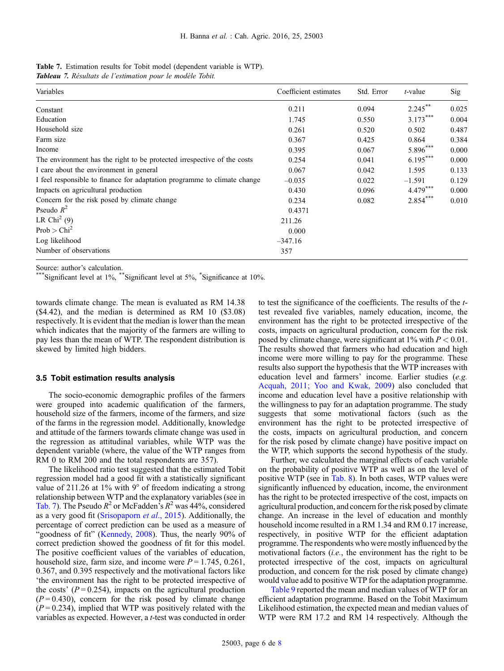|  |  | Table 7. Estimation results for Tobit model (dependent variable is WTP). |  |
|--|--|--------------------------------------------------------------------------|--|
|  |  |                                                                          |  |

Tableau 7. Résultats de l'estimation pour le modèle Tobit.

| Variables                                                                | Coefficient estimates | Std. Error | $t$ -value | Sig   |
|--------------------------------------------------------------------------|-----------------------|------------|------------|-------|
| Constant                                                                 | 0.211                 | 0.094      | $2.245***$ | 0.025 |
| Education                                                                | 1.745                 | 0.550      | $3.173***$ | 0.004 |
| Household size                                                           | 0.261                 | 0.520      | 0.502      | 0.487 |
| Farm size                                                                | 0.367                 | 0.425      | 0.864      | 0.384 |
| Income                                                                   | 0.395                 | 0.067      | $5.896***$ | 0.000 |
| The environment has the right to be protected irrespective of the costs  | 0.254                 | 0.041      | $6.195***$ | 0.000 |
| I care about the environment in general                                  | 0.067                 | 0.042      | 1.595      | 0.133 |
| I feel responsible to finance for adaptation programme to climate change | $-0.035$              | 0.022      | $-1.591$   | 0.129 |
| Impacts on agricultural production                                       | 0.430                 | 0.096      | $4.479***$ | 0.000 |
| Concern for the risk posed by climate change                             | 0.234                 | 0.082      | $2.854***$ | 0.010 |
| Pseudo $R^2$                                                             | 0.4371                |            |            |       |
| LR Chi <sup>2</sup> (9)                                                  | 211.26                |            |            |       |
| Prob > Chi <sup>2</sup>                                                  | 0.000                 |            |            |       |
| Log likelihood                                                           | $-347.16$             |            |            |       |
| Number of observations                                                   | 357                   |            |            |       |

Source: author's calculation.<br>\*\*\*Significant level at 1%, \*\*Significant level at 5%, \*Significance at 10%.

towards climate change. The mean is evaluated as RM 14.38 (\$4.42), and the median is determined as RM 10 (\$3.08) respectively. It is evident that the median is lower than the mean which indicates that the majority of the farmers are willing to pay less than the mean of WTP. The respondent distribution is skewed by limited high bidders.

### 3.5 Tobit estimation results analysis

The socio-economic demographic profiles of the farmers were grouped into academic qualification of the farmers, household size of the farmers, income of the farmers, and size of the farms in the regression model. Additionally, knowledge and attitude of the farmers towards climate change was used in the regression as attitudinal variables, while WTP was the dependent variable (where, the value of the WTP ranges from RM 0 to RM 200 and the total respondents are 357).

The likelihood ratio test suggested that the estimated Tobit regression model had a good fit with a statistically significant value of 211.26 at 1% with 9° of freedom indicating a strong relationship between WTP and the explanatory variables (see in Tab. 7). The Pseudo  $R^2$  or McFadden's  $R^2$  was 44%, considered as a very good fit [\(Srisopaporn](#page-7-0) et al., 2015). Additionally, the percentage of correct prediction can be used as a measure of "goodness of fit" ([Kennedy, 2008](#page-7-0)). Thus, the nearly 90% of correct prediction showed the goodness of fit for this model. The positive coefficient values of the variables of education, household size, farm size, and income were  $P = 1.745, 0.261$ , 0.367, and 0.395 respectively and the motivational factors like 'the environment has the right to be protected irrespective of the costs'  $(P = 0.254)$ , impacts on the agricultural production  $(P=0.430)$ , concern for the risk posed by climate change  $(P = 0.234)$ , implied that WTP was positively related with the variables as expected. However, a t-test was conducted in order to test the significance of the coefficients. The results of the ttest revealed five variables, namely education, income, the environment has the right to be protected irrespective of the costs, impacts on agricultural production, concern for the risk posed by climate change, were significant at  $1\%$  with  $P < 0.01$ . The results showed that farmers who had education and high income were more willing to pay for the programme. These results also support the hypothesis that the WTP increases with education level and farmers' income. Earlier studies (e.g. Acquah, 2011; Yoo and Kwak, 2009) also concluded that income and education level have a positive relationship with the willingness to pay for an adaptation programme. The study suggests that some motivational factors (such as the environment has the right to be protected irrespective of the costs, impacts on agricultural production, and concern for the risk posed by climate change) have positive impact on the WTP, which supports the second hypothesis of the study.

Further, we calculated the marginal effects of each variable on the probability of positive WTP as well as on the level of positive WTP (see in [Tab. 8\)](#page-6-0). In both cases, WTP values were significantly influenced by education, income, the environment has the right to be protected irrespective of the cost, impacts on agricultural production, and concern for the risk posed by climate change. An increase in the level of education and monthly household income resulted in a RM 1.34 and RM 0.17 increase, respectively, in positive WTP for the efficient adaptation programme. The respondents who were mostly influenced by the motivational factors (i.e., the environment has the right to be protected irrespective of the cost, impacts on agricultural production, and concern for the risk posed by climate change) would value add to positive WTP for the adaptation programme.

[Table 9](#page-6-0) reported the mean and median values of WTP for an efficient adaptation programme. Based on the Tobit Maximum Likelihood estimation, the expected mean and median values of WTP were RM 17.2 and RM 14 respectively. Although the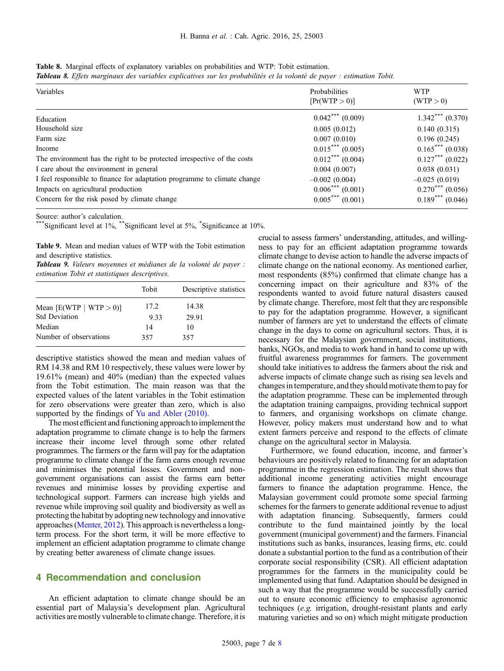<span id="page-6-0"></span>

| Table 8. Marginal effects of explanatory variables on probabilities and WTP: Tobit estimation.                                |  |  |  |  |  |
|-------------------------------------------------------------------------------------------------------------------------------|--|--|--|--|--|
| <b>Tableau 8.</b> Effets marginaux des variables explicatives sur les probabilités et la volonté de payer : estimation Tobit. |  |  |  |  |  |

| Variables                                                                | Probabilities<br>[Pr(WTP > 0)]   | <b>WTP</b><br>(WTP > 0) |
|--------------------------------------------------------------------------|----------------------------------|-------------------------|
| Education                                                                | $0.042$ *** $(0.009)$            | $1.342***(0.370)$       |
| Household size                                                           | 0.005(0.012)                     | 0.140(0.315)            |
| Farm size                                                                | 0.007(0.010)                     | 0.196(0.245)            |
| Income                                                                   | $0.015***(0.005)$                | $0.165***(0.038)$       |
| The environment has the right to be protected irrespective of the costs  | $0.012***$ (0.004)               | $0.127***$ (0.022)      |
| I care about the environment in general                                  | 0.004(0.007)                     | 0.038(0.031)            |
| I feel responsible to finance for adaptation programme to climate change | $-0.002(0.004)$                  | $-0.025(0.019)$         |
| Impacts on agricultural production                                       | $0.006$ <sup>***</sup> $(0.001)$ | $0.270***(0.056)$       |
| Concern for the risk posed by climate change                             | $0.005***$<br>(0.001)            | $0.189***$<br>(0.046)   |

Source: author's calculation.<br>\*\*\*Significant level at 1%, \*\*Significant level at 5%, \*Significance at 10%.

Table 9. Mean and median values of WTP with the Tobit estimation and descriptive statistics.

Tableau 9. Valeurs moyennes et médianes de la volonté de payer : estimation Tobit et statistiques descriptives.

|                           | Tobit | Descriptive statistics |
|---------------------------|-------|------------------------|
| Mean $[E(WTP   WTP > 0)]$ | 17.2  | 14.38                  |
| <b>Std Deviation</b>      | 9.33  | 29.91                  |
| Median                    | 14    | 10                     |
| Number of observations    | 357   | 357                    |

descriptive statistics showed the mean and median values of RM 14.38 and RM 10 respectively, these values were lower by 19.61% (mean) and 40% (median) than the expected values from the Tobit estimation. The main reason was that the expected values of the latent variables in the Tobit estimation for zero observations were greater than zero, which is also supported by the findings of [Yu and Abler \(2010\).](#page-7-0)

The most efficient and functioning approach to implement the adaptation programme to climate change is to help the farmers increase their income level through some other related programmes. The farmers or the farm will pay for the adaptation programme to climate change if the farm earns enough revenue and minimises the potential losses. Government and nongovernment organisations can assist the farms earn better revenues and minimise losses by providing expertise and technological support. Farmers can increase high yields and revenue while improving soil quality and biodiversity as well as protecting the habitat by adopting new technology and innovative approaches [\(Menter, 2012](#page-7-0)). This approach is nevertheless a longterm process. For the short term, it will be more effective to implement an efficient adaptation programme to climate change by creating better awareness of climate change issues.

# 4 Recommendation and conclusion

An efficient adaptation to climate change should be an essential part of Malaysia's development plan. Agricultural activities are mostly vulnerable to climate change. Therefore, it is crucial to assess farmers' understanding, attitudes, and willingness to pay for an efficient adaptation programme towards climate change to devise action to handle the adverse impacts of climate change on the national economy. As mentioned earlier, most respondents (85%) confirmed that climate change has a concerning impact on their agriculture and 83% of the respondents wanted to avoid future natural disasters caused by climate change. Therefore, most felt that they are responsible to pay for the adaptation programme. However, a significant number of farmers are yet to understand the effects of climate change in the days to come on agricultural sectors. Thus, it is necessary for the Malaysian government, social institutions, banks, NGOs, and media to work hand in hand to come up with fruitful awareness programmes for farmers. The government should take initiatives to address the farmers about the risk and adverse impacts of climate change such as rising sea levels and changes in temperature, and they should motivate them to pay for the adaptation programme. These can be implemented through the adaptation training campaigns, providing technical support to farmers, and organising workshops on climate change. However, policy makers must understand how and to what extent farmers perceive and respond to the effects of climate change on the agricultural sector in Malaysia.

Furthermore, we found education, income, and farmer's behaviours are positively related to financing for an adaptation programme in the regression estimation. The result shows that additional income generating activities might encourage farmers to finance the adaptation programme. Hence, the Malaysian government could promote some special farming schemes for the farmers to generate additional revenue to adjust with adaptation financing. Subsequently, farmers could contribute to the fund maintained jointly by the local government (municipal government) and the farmers. Financial institutions such as banks, insurances, leasing firms, etc. could donate a substantial portion to the fund as a contribution of their corporate social responsibility (CSR). All efficient adaptation programmes for the farmers in the municipality could be implemented using that fund. Adaptation should be designed in such a way that the programme would be successfully carried out to ensure economic efficiency to emphasise agronomic techniques (e.g. irrigation, drought-resistant plants and early maturing varieties and so on) which might mitigate production